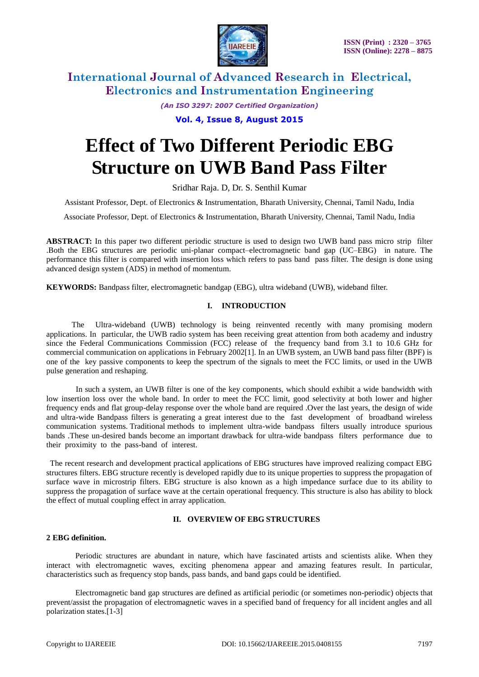

*(An ISO 3297: 2007 Certified Organization)* **Vol. 4, Issue 8, August 2015**

# **Effect of Two Different Periodic EBG Structure on UWB Band Pass Filter**

Sridhar Raja. D, Dr. S. Senthil Kumar

Assistant Professor, Dept. of Electronics & Instrumentation, Bharath University, Chennai, Tamil Nadu, India

Associate Professor, Dept. of Electronics & Instrumentation, Bharath University, Chennai, Tamil Nadu, India

**ABSTRACT:** In this paper two different periodic structure is used to design two UWB band pass micro strip filter .Both the EBG structures are periodic uni-planar compact–electromagnetic band gap (UC–EBG) in nature. The performance this filter is compared with insertion loss which refers to pass band pass filter. The design is done using advanced design system (ADS) in method of momentum.

**KEYWORDS:** Bandpass filter, electromagnetic bandgap (EBG), ultra wideband (UWB), wideband filter.

## **I. INTRODUCTION**

The Ultra-wideband (UWB) technology is being reinvented recently with many promising modern applications. In particular, the UWB radio system has been receiving great attention from both academy and industry since the Federal Communications Commission (FCC) release of the frequency band from 3.1 to 10.6 GHz for commercial communication on applications in February 2002[1]. In an UWB system, an UWB band pass filter (BPF) is one of the key passive components to keep the spectrum of the signals to meet the FCC limits, or used in the UWB pulse generation and reshaping.

 In such a system, an UWB filter is one of the key components, which should exhibit a wide bandwidth with low insertion loss over the whole band. In order to meet the FCC limit, good selectivity at both lower and higher frequency ends and flat group-delay response over the whole band are required .Over the last years, the design of wide and ultra-wide Bandpass filters is generating a great interest due to the fast development of broadband wireless communication systems. Traditional methods to implement ultra-wide bandpass filters usually introduce spurious bands .These un-desired bands become an important drawback for ultra-wide bandpass filters performance due to their proximity to the pass-band of interest.

The recent research and development practical applications of EBG structures have improved realizing compact EBG structures filters. EBG structure recently is developed rapidly due to its unique properties to suppress the propagation of surface wave in microstrip filters. EBG structure is also known as a high impedance surface due to its ability to suppress the propagation of surface wave at the certain operational frequency. This structure is also has ability to block the effect of mutual coupling effect in array application.

## **II. OVERVIEW OF EBG STRUCTURES**

#### **2 EBG definition.**

Periodic structures are abundant in nature, which have fascinated artists and scientists alike. When they interact with electromagnetic waves, exciting phenomena appear and amazing features result. In particular, characteristics such as frequency stop bands, pass bands, and band gaps could be identified.

Electromagnetic band gap structures are defined as artificial periodic (or sometimes non-periodic) objects that prevent/assist the propagation of electromagnetic waves in a specified band of frequency for all incident angles and all polarization states.[1-3]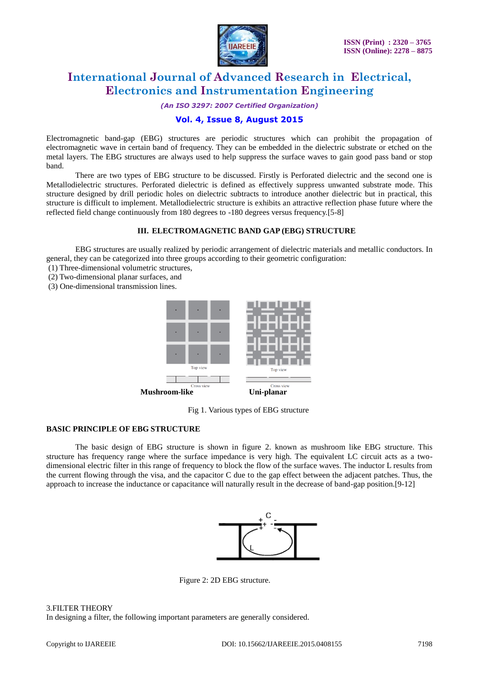

*(An ISO 3297: 2007 Certified Organization)*

# **Vol. 4, Issue 8, August 2015**

Electromagnetic band-gap (EBG) structures are periodic structures which can prohibit the propagation of electromagnetic wave in certain band of frequency. They can be embedded in the dielectric substrate or etched on the metal layers. The EBG structures are always used to help suppress the surface waves to gain good pass band or stop band.

There are two types of EBG structure to be discussed. Firstly is Perforated dielectric and the second one is Metallodielectric structures. Perforated dielectric is defined as effectively suppress unwanted substrate mode. This structure designed by drill periodic holes on dielectric subtracts to introduce another dielectric but in practical, this structure is difficult to implement. Metallodielectric structure is exhibits an attractive reflection phase future where the reflected field change continuously from 180 degrees to -180 degrees versus frequency.[5-8]

## **III. ELECTROMAGNETIC BAND GAP (EBG) STRUCTURE**

EBG structures are usually realized by periodic arrangement of dielectric materials and metallic conductors. In general, they can be categorized into three groups according to their geometric configuration:

- (1) Three-dimensional volumetric structures,
- (2) Two-dimensional planar surfaces, and
- (3) One-dimensional transmission lines.



Fig 1. Various types of EBG structure

## **BASIC PRINCIPLE OF EBG STRUCTURE**

The basic design of EBG structure is shown in figure 2. known as mushroom like EBG structure. This structure has frequency range where the surface impedance is very high. The equivalent LC circuit acts as a twodimensional electric filter in this range of frequency to block the flow of the surface waves. The inductor L results from the current flowing through the visa, and the capacitor C due to the gap effect between the adjacent patches. Thus, the approach to increase the inductance or capacitance will naturally result in the decrease of band-gap position.[9-12]



Figure 2: 2D EBG structure.

## 3.FILTER THEORY

In designing a filter, the following important parameters are generally considered.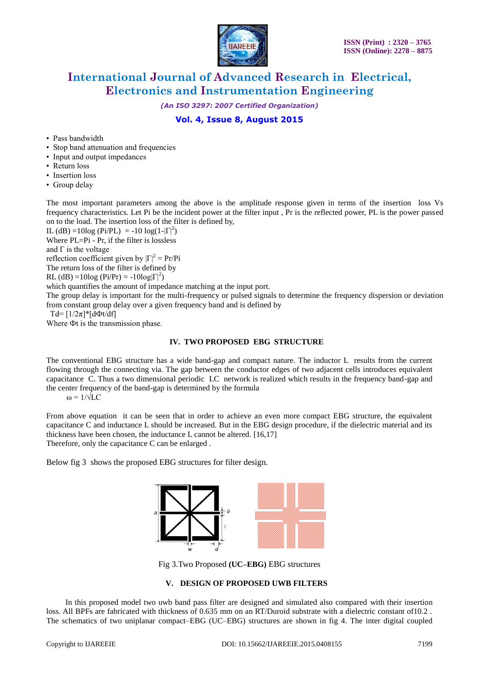

*(An ISO 3297: 2007 Certified Organization)*

# **Vol. 4, Issue 8, August 2015**

- Pass bandwidth
- Stop band attenuation and frequencies
- Input and output impedances
- Return loss
- Insertion loss
- Group delay

The most important parameters among the above is the amplitude response given in terms of the insertion loss Vs frequency characteristics. Let Pi be the incident power at the filter input , Pr is the reflected power, PL is the power passed on to the load. The insertion loss of the filter is defined by,

IL (dB) =10log (Pi/PL) = -10 log(1- $|\Gamma|^2$ )

Where PL=Pi - Pr, if the filter is lossless

and  $\Gamma$  is the voltage

reflection coefficient given by  $|\Gamma|^2 = Pr/Pi$ 

The return loss of the filter is defined by

RL (dB) =10log (Pi/Pr) = -10log $|\Gamma|^2$ )

which quantifies the amount of impedance matching at the input port.

The group delay is important for the multi-frequency or pulsed signals to determine the frequency dispersion or deviation from constant group delay over a given frequency band and is defined by

Td=  $[1/2\pi]$ \* $[d\Phi t/df]$ 

Where Фt is the transmission phase.

## **IV. TWO PROPOSED EBG STRUCTURE**

The conventional EBG structure has a wide band-gap and compact nature. The inductor L results from the current flowing through the connecting via. The gap between the conductor edges of two adjacent cells introduces equivalent capacitance C. Thus a two dimensional periodic LC network is realized which results in the frequency band-gap and the center frequency of the band-gap is determined by the formula

 $ω = 1/\sqrt{LC}$ 

From above equation it can be seen that in order to achieve an even more compact EBG structure, the equivalent capacitance C and inductance L should be increased. But in the EBG design procedure, if the dielectric material and its thickness have been chosen, the inductance L cannot be altered. [16,17] Therefore, only the capacitance C can be enlarged .

Below fig 3 shows the proposed EBG structures for filter design.



Fig 3.Two Proposed **(UC–EBG)** EBG structures

## **V. DESIGN OF PROPOSED UWB FILTERS**

 In this proposed model two uwb band pass filter are designed and simulated also compared with their insertion loss. All BPFs are fabricated with thickness of 0.635 mm on an RT/Duroid substrate with a dielectric constant of 10.2. The schematics of two uniplanar compact–EBG (UC–EBG) structures are shown in fig 4. The inter digital coupled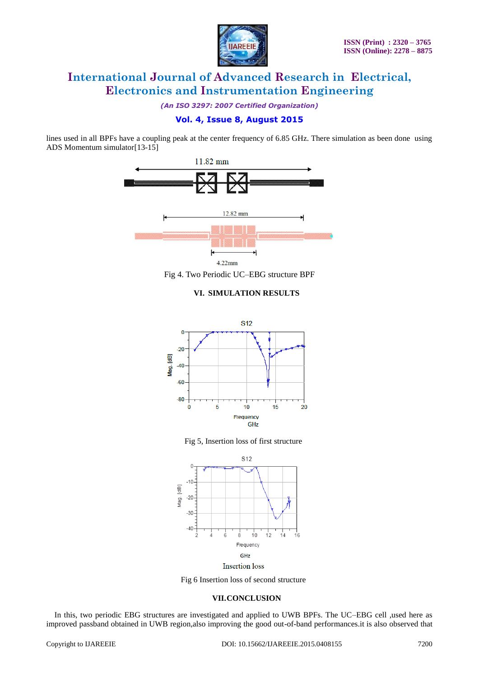

*(An ISO 3297: 2007 Certified Organization)*

# **Vol. 4, Issue 8, August 2015**

lines used in all BPFs have a coupling peak at the center frequency of 6.85 GHz. There simulation as been done using ADS Momentum simulator[13-15]



Fig 4. Two Periodic UC–EBG structure BPF

## **VI. SIMULATION RESULTS**



Fig 5, Insertion loss of first structure



**Insertion** loss

Fig 6 Insertion loss of second structure

## **VII.CONCLUSION**

In this, two periodic EBG structures are investigated and applied to UWB BPFs. The UC–EBG cell ,used here as improved passband obtained in UWB region,also improving the good out-of-band performances.it is also observed that